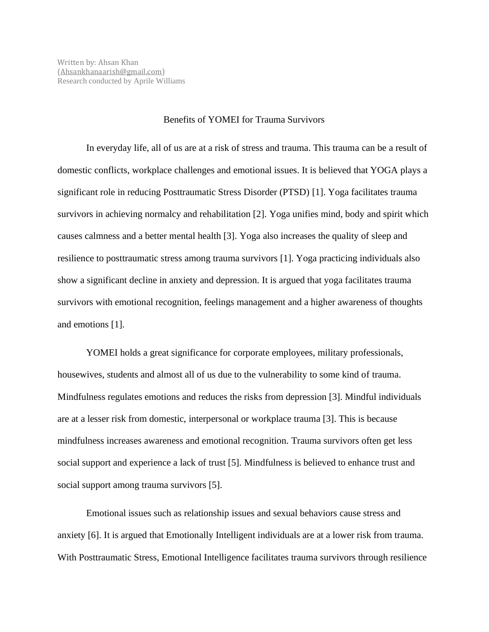## Benefits of YOMEI for Trauma Survivors

In everyday life, all of us are at a risk of stress and trauma. This trauma can be a result of domestic conflicts, workplace challenges and emotional issues. It is believed that YOGA plays a significant role in reducing Posttraumatic Stress Disorder (PTSD) [1]. Yoga facilitates trauma survivors in achieving normalcy and rehabilitation [2]. Yoga unifies mind, body and spirit which causes calmness and a better mental health [3]. Yoga also increases the quality of sleep and resilience to posttraumatic stress among trauma survivors [1]. Yoga practicing individuals also show a significant decline in anxiety and depression. It is argued that yoga facilitates trauma survivors with emotional recognition, feelings management and a higher awareness of thoughts and emotions [1].

YOMEI holds a great significance for corporate employees, military professionals, housewives, students and almost all of us due to the vulnerability to some kind of trauma. Mindfulness regulates emotions and reduces the risks from depression [3]. Mindful individuals are at a lesser risk from domestic, interpersonal or workplace trauma [3]. This is because mindfulness increases awareness and emotional recognition. Trauma survivors often get less social support and experience a lack of trust [5]. Mindfulness is believed to enhance trust and social support among trauma survivors [5].

Emotional issues such as relationship issues and sexual behaviors cause stress and anxiety [6]. It is argued that Emotionally Intelligent individuals are at a lower risk from trauma. With Posttraumatic Stress, Emotional Intelligence facilitates trauma survivors through resilience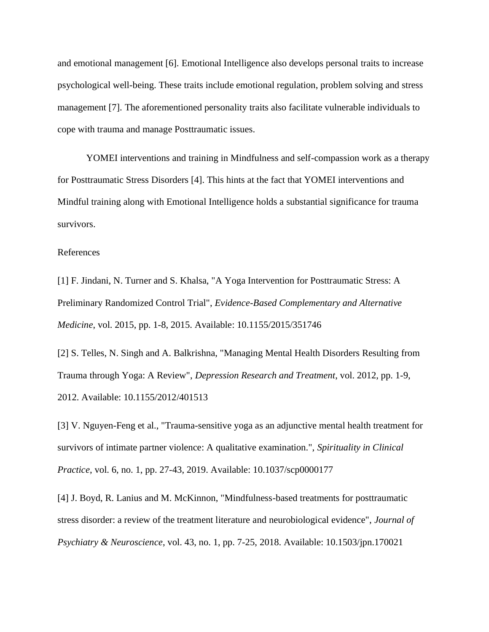and emotional management [6]. Emotional Intelligence also develops personal traits to increase psychological well-being. These traits include emotional regulation, problem solving and stress management [7]. The aforementioned personality traits also facilitate vulnerable individuals to cope with trauma and manage Posttraumatic issues.

YOMEI interventions and training in Mindfulness and self-compassion work as a therapy for Posttraumatic Stress Disorders [4]. This hints at the fact that YOMEI interventions and Mindful training along with Emotional Intelligence holds a substantial significance for trauma survivors.

## References

[1] F. Jindani, N. Turner and S. Khalsa, "A Yoga Intervention for Posttraumatic Stress: A Preliminary Randomized Control Trial", *Evidence-Based Complementary and Alternative Medicine*, vol. 2015, pp. 1-8, 2015. Available: 10.1155/2015/351746

[2] S. Telles, N. Singh and A. Balkrishna, "Managing Mental Health Disorders Resulting from Trauma through Yoga: A Review", *Depression Research and Treatment*, vol. 2012, pp. 1-9, 2012. Available: 10.1155/2012/401513

[3] V. Nguyen-Feng et al., "Trauma-sensitive yoga as an adjunctive mental health treatment for survivors of intimate partner violence: A qualitative examination.", *Spirituality in Clinical Practice*, vol. 6, no. 1, pp. 27-43, 2019. Available: 10.1037/scp0000177

[4] J. Boyd, R. Lanius and M. McKinnon, "Mindfulness-based treatments for posttraumatic stress disorder: a review of the treatment literature and neurobiological evidence", *Journal of Psychiatry & Neuroscience*, vol. 43, no. 1, pp. 7-25, 2018. Available: 10.1503/jpn.170021